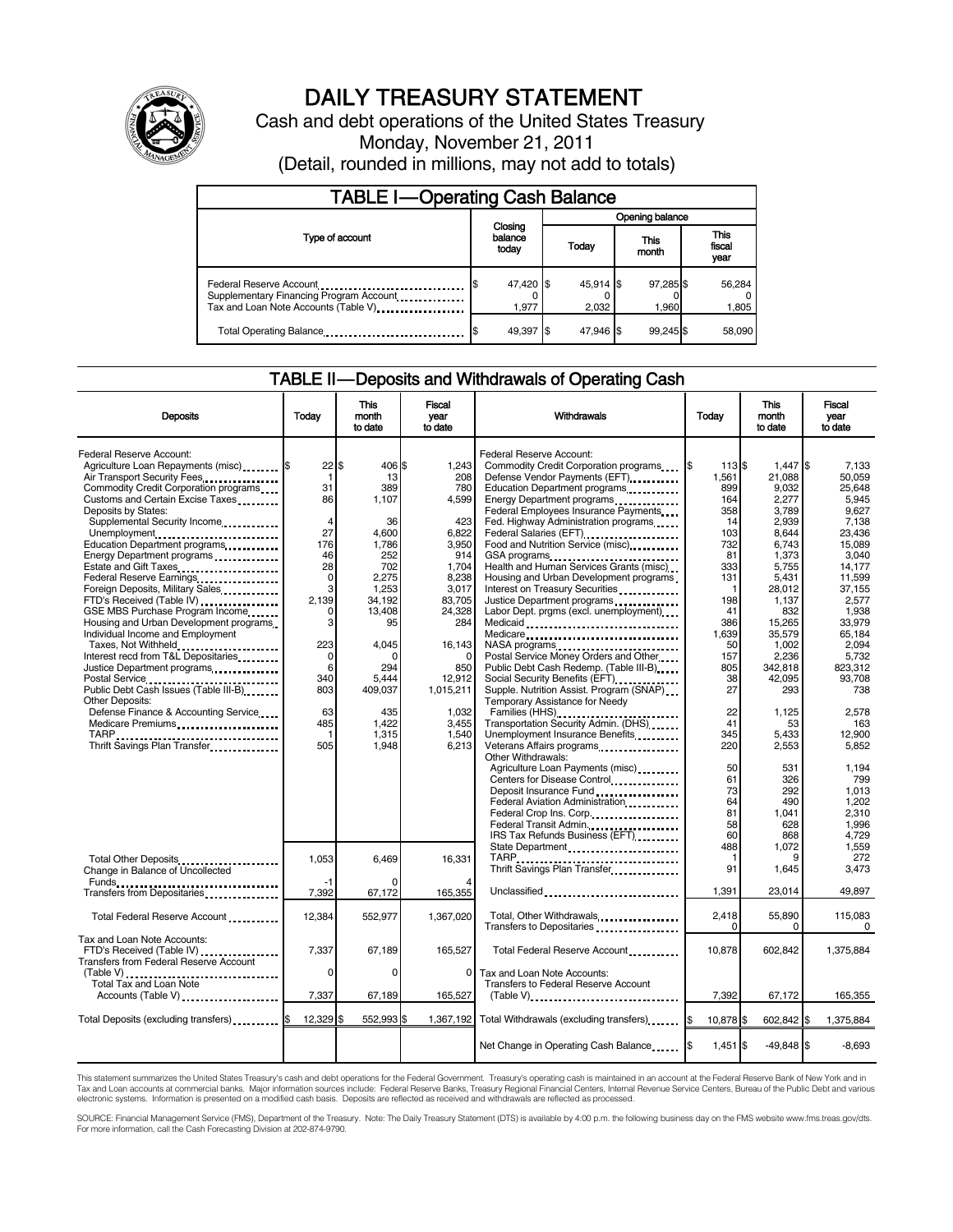

# DAILY TREASURY STATEMENT

Cash and debt operations of the United States Treasury Monday, November 21, 2011 (Detail, rounded in millions, may not add to totals)

| <b>TABLE I-Operating Cash Balance</b>                                                                                                                  |                             |                      |                    |                               |  |  |  |  |
|--------------------------------------------------------------------------------------------------------------------------------------------------------|-----------------------------|----------------------|--------------------|-------------------------------|--|--|--|--|
|                                                                                                                                                        |                             | Opening balance      |                    |                               |  |  |  |  |
| Type of account                                                                                                                                        | Closing<br>balance<br>today | Today                | This<br>month      | <b>This</b><br>fiscal<br>year |  |  |  |  |
| Federal Reserve Account<br>Supplementary Financing Program Account<br>Tax and Loan Note Accounts (Table V) <b>Tax</b> and Loan Note Accounts (Table V) | 47,420 \$<br>1.977          | $45,914$ \$<br>2.032 | 97.285 \$<br>1,960 | 56,284<br>1,805               |  |  |  |  |
| Total Operating Balance                                                                                                                                | 49,397 \$                   | 47.946 \$            | 99.245 \$          | 58,090                        |  |  |  |  |

### TABLE II — Deposits and Withdrawals of Operating Cash

| <b>Deposits</b>                                                                                                                                                                                                                         | Today                                                | <b>This</b><br>month<br>to date                    | <b>Fiscal</b><br>vear<br>to date                        | Withdrawals                                                                                                                                                                                                                            | Today                                           | <b>This</b><br>month<br>to date                               | Fiscal<br>vear<br>to date                                       |
|-----------------------------------------------------------------------------------------------------------------------------------------------------------------------------------------------------------------------------------------|------------------------------------------------------|----------------------------------------------------|---------------------------------------------------------|----------------------------------------------------------------------------------------------------------------------------------------------------------------------------------------------------------------------------------------|-------------------------------------------------|---------------------------------------------------------------|-----------------------------------------------------------------|
| Federal Reserve Account:<br>Agriculture Loan Repayments (misc) \$<br>Air Transport Security Fees<br>Commodity Credit Corporation programs<br>Customs and Certain Excise Taxes<br>Deposits by States:<br>Supplemental Security Income    | $22$ S<br>$\mathbf{1}$<br>31<br>86<br>$\overline{4}$ | 406 \$<br>13<br>389<br>1.107<br>36                 | 1,243<br>208<br>780<br>4.599<br>423                     | Federal Reserve Account:<br>Commodity Credit Corporation programs<br>Defense Vendor Payments (EFT)<br>Education Department programs<br>Federal Employees Insurance Payments<br>Fed. Highway Administration programs                    | I\$<br>1135<br>1.561<br>899<br>164<br>358<br>14 | $1.447$ \$<br>21.088<br>9,032<br>2,277<br>3,789<br>2,939      | 7.133<br>50.059<br>25.648<br>5.945<br>9,627<br>7,138            |
| Unemployment<br>Education Department programs<br>Energy Department programs<br>Estate and Gift Taxes<br>Federal Reserve Earnings<br>Foreign Deposits, Military Sales                                                                    | 27<br>176<br>46<br>28<br>$\mathbf 0$<br>3            | 4,600<br>1,786<br>252<br>702<br>2,275<br>1.253     | 6,822<br>3,950<br>914<br>1.704<br>8,238<br>3.017        | Federal Salaries (EFT)<br>Food and Nutrition Service (misc)<br>Health and Human Services Grants (misc)<br>Housing and Urban Development programs<br>Interest on Treasury Securities                                                    | 103<br>732<br>81<br>333<br>131<br>1             | 8,644<br>6,743<br>1,373<br>5,755<br>5,431<br>28,012           | 23,436<br>15,089<br>3,040<br>14.177<br>11.599<br>37.155         |
| FTD's Received (Table IV)<br>GSE MBS Purchase Program Income<br>Housing and Urban Development programs<br>Individual Income and Employment<br>Taxes, Not Withheld<br>Interest recd from T&L Depositaries<br>Justice Department programs | 2.139<br>0<br>3<br>223<br>0<br>6                     | 34.192<br>13,408<br>95<br>4,045<br>0<br>294        | 83,705<br>24,328<br>284<br>16,143<br>850                | Justice Department programs<br><br>Labor Dept. prgms (excl. unemployment)<br>Medicaid<br>Medicare<br>Postal Service Money Orders and Other<br>Public Debt Cash Redemp. (Table III-B)                                                   | 198<br>41<br>386<br>1,639<br>50<br>157<br>805   | 1.137<br>832<br>15,265<br>35,579<br>1,002<br>2,236<br>342.818 | 2.577<br>1,938<br>33,979<br>65,184<br>2.094<br>5,732<br>823.312 |
| Postal Service<br>Public Debt Cash Issues (Table III-B)<br><b>Other Deposits:</b><br>Defense Finance & Accounting Service<br>Medicare Premiums                                                                                          | 340<br>803<br>63<br>485<br>$\mathbf{1}$<br>505       | 5,444<br>409.037<br>435<br>1,422<br>1.315<br>1,948 | 12,912<br>1.015.211<br>1,032<br>3,455<br>1.540<br>6,213 | Social Security Benefits (EFT)<br>Supple. Nutrition Assist. Program (SNAP)<br>Temporary Assistance for Needy<br>Families (HHS)<br>Transportation Security Admin. (DHS)<br>Unemployment Insurance Benefits<br>Veterans Affairs programs | 38<br>27<br>22<br>41<br>345<br>220              | 42.095<br>293<br>1,125<br>53<br>5,433<br>2,553                | 93.708<br>738<br>2,578<br>163<br>12.900<br>5.852                |
|                                                                                                                                                                                                                                         |                                                      |                                                    |                                                         | Other Withdrawals:<br>Agriculture Loan Payments (misc)<br>Centers for Disease Control<br>Deposit Insurance Fund<br>Federal Aviation Administration<br>Federal Crop Ins. Corp<br>Federal Transit Admin                                  | 50<br>61<br>73<br>64<br>81<br>58                | 531<br>326<br>292<br>490<br>1,041<br>628                      | 1.194<br>799<br>1.013<br>1.202<br>2.310<br>1,996                |
| Total Other Deposits<br>Change in Balance of Uncollected                                                                                                                                                                                | 1,053<br>-1                                          | 6.469<br>O                                         | 16,331                                                  | IRS Tax Refunds Business (EFT)<br>State Department<br>TARP<br>THE Savings Plan Transfer                                                                                                                                                | 60<br>488<br>1<br>91                            | 868<br>1,072<br>9<br>1,645                                    | 4,729<br>1.559<br>272<br>3,473                                  |
| Transfers from Depositaries<br>Total Federal Reserve Account                                                                                                                                                                            | 7,392<br>12,384                                      | 67,172<br>552,977                                  | 165,355<br>1.367.020                                    | Unclassified<br>Total, Other Withdrawals                                                                                                                                                                                               | 1.391<br>2.418                                  | 23,014<br>55.890                                              | 49,897<br>115.083                                               |
| Tax and Loan Note Accounts:<br>FTD's Received (Table IV)<br><b>Transfers from Federal Reserve Account</b>                                                                                                                               | 7,337                                                | 67,189                                             | 165,527                                                 | Transfers to Depositaries<br>Total Federal Reserve Account                                                                                                                                                                             | $\Omega$<br>10,878                              | 0<br>602,842                                                  | 0<br>1,375,884                                                  |
| (Table V)<br>Total Tax and Loan Note<br>Accounts (Table V)                                                                                                                                                                              | 0<br>7,337                                           | 0<br>67,189                                        | $\Omega$<br>165,527                                     | Tax and Loan Note Accounts:<br><b>Transfers to Federal Reserve Account</b><br>$(Table V)$                                                                                                                                              | 7,392                                           | 67,172                                                        | 165,355                                                         |
| Total Deposits (excluding transfers) <b>S</b>                                                                                                                                                                                           | 12,329 \$                                            | 552,993 \$                                         | 1,367,192                                               | Total Withdrawals (excluding transfers) [\$                                                                                                                                                                                            | 10.878 \$                                       | 602.842 \$                                                    | 1.375.884                                                       |
|                                                                                                                                                                                                                                         |                                                      |                                                    |                                                         | Net Change in Operating Cash Balance                                                                                                                                                                                                   | $1,451$ \$                                      | $-49,848$ \$                                                  | $-8,693$                                                        |

This statement summarizes the United States Treasury's cash and debt operations for the Federal Government. Treasury's operating cash is maintained in an account at the Federal Reserve Bank of New York and in<br>Tax and Loan

SOURCE: Financial Management Service (FMS), Department of the Treasury. Note: The Daily Treasury Statement (DTS) is available by 4:00 p.m. the following business day on the FMS website www.fms.treas.gov/dts.<br>For more infor